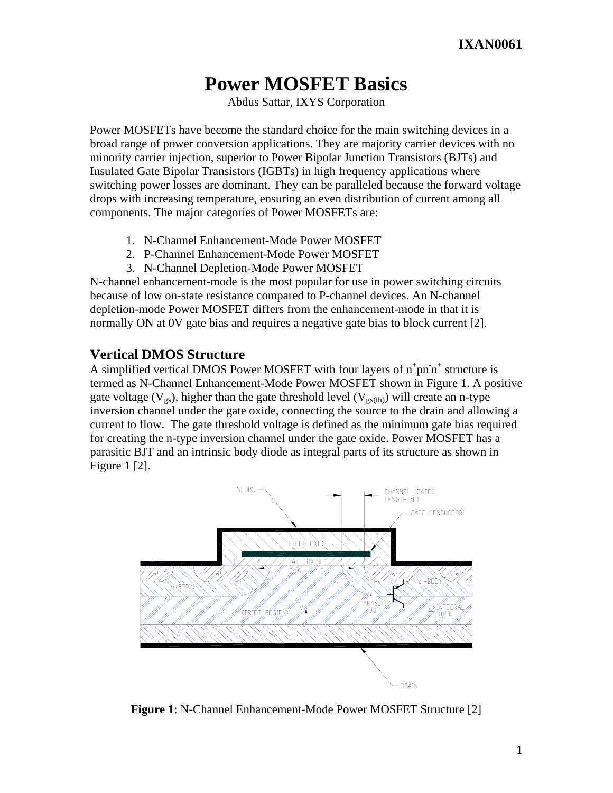# **Power MOSFET Basics**

Abdus Sattar, IXYS Corporation

Power MOSFETs have become the standard choice for the main switching devices in a broad range of power conversion applications. They are majority carrier devices with no minority carrier injection, superior to Power Bipolar Junction Transistors (BJTs) and Insulated Gate Bipolar Transistors (IGBTs) in high frequency applications where switching power losses are dominant. They can be paralleled because the forward voltage drops with increasing temperature, ensuring an even distribution of current among all components. The major categories of Power MOSFETs are:

- 1. N-Channel Enhancement-Mode Power MOSFET
- 2. P-Channel Enhancement-Mode Power MOSFET
- 3. N-Channel Depletion-Mode Power MOSFET

N-channel enhancement-mode is the most popular for use in power switching circuits because of low on-state resistance compared to P-channel devices. An N-channel depletion-mode Power MOSFET differs from the enhancement-mode in that it is normally ON at 0V gate bias and requires a negative gate bias to block current [2].

# **Vertical DMOS Structure**

A simplified vertical DMOS Power MOSFET with four layers of  $n^+pn^*$  structure is termed as N-Channel Enhancement-Mode Power MOSFET shown in Figure 1. A positive gate voltage ( $V_{gs}$ ), higher than the gate threshold level ( $V_{gs(th)}$ ) will create an n-type inversion channel under the gate oxide, connecting the source to the drain and allowing a current to flow. The gate threshold voltage is defined as the minimum gate bias required for creating the n-type inversion channel under the gate oxide. Power MOSFET has a parasitic BJT and an intrinsic body diode as integral parts of its structure as shown in Figure 1 [2].



**Figure 1**: N-Channel Enhancement-Mode Power MOSFET Structure [2]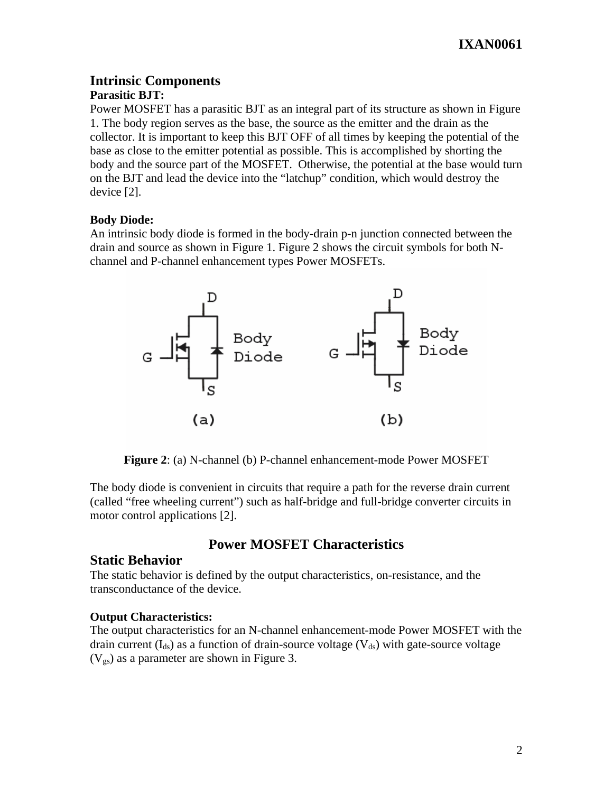# **Intrinsic Components**

## **Parasitic BJT:**

Power MOSFET has a parasitic BJT as an integral part of its structure as shown in Figure 1. The body region serves as the base, the source as the emitter and the drain as the collector. It is important to keep this BJT OFF of all times by keeping the potential of the base as close to the emitter potential as possible. This is accomplished by shorting the body and the source part of the MOSFET. Otherwise, the potential at the base would turn on the BJT and lead the device into the "latchup" condition, which would destroy the device [2].

## **Body Diode:**

An intrinsic body diode is formed in the body-drain p-n junction connected between the drain and source as shown in Figure 1. Figure 2 shows the circuit symbols for both Nchannel and P-channel enhancement types Power MOSFETs.



**Figure 2**: (a) N-channel (b) P-channel enhancement-mode Power MOSFET

The body diode is convenient in circuits that require a path for the reverse drain current (called "free wheeling current") such as half-bridge and full-bridge converter circuits in motor control applications [2].

# **Power MOSFET Characteristics**

# **Static Behavior**

The static behavior is defined by the output characteristics, on-resistance, and the transconductance of the device.

## **Output Characteristics:**

The output characteristics for an N-channel enhancement-mode Power MOSFET with the drain current  $(I_{ds})$  as a function of drain-source voltage  $(V_{ds})$  with gate-source voltage  $(V_{gs})$  as a parameter are shown in Figure 3.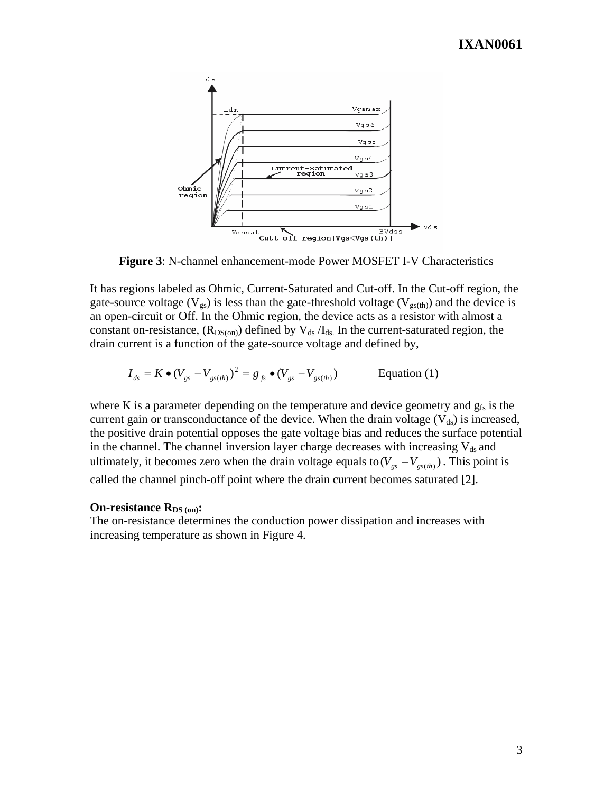

**Figure 3**: N-channel enhancement-mode Power MOSFET I-V Characteristics

It has regions labeled as Ohmic, Current-Saturated and Cut-off. In the Cut-off region, the gate-source voltage ( $V_{gs}$ ) is less than the gate-threshold voltage ( $V_{gs(th)}$ ) and the device is an open-circuit or Off. In the Ohmic region, the device acts as a resistor with almost a constant on-resistance,  $(R_{DS(on)})$  defined by  $V_{ds}/I_{ds}$ . In the current-saturated region, the drain current is a function of the gate-source voltage and defined by,

$$
I_{ds} = K \bullet (V_{gs} - V_{gs(th)})^2 = g_{fs} \bullet (V_{gs} - V_{gs(th)})
$$
 Equation (1)

where K is a parameter depending on the temperature and device geometry and  $g_{fs}$  is the current gain or transconductance of the device. When the drain voltage  $(V_{ds})$  is increased, the positive drain potential opposes the gate voltage bias and reduces the surface potential in the channel. The channel inversion layer charge decreases with increasing  $V_{ds}$  and ultimately, it becomes zero when the drain voltage equals to( $V_{gs} - V_{gs(th)}$ ). This point is called the channel pinch-off point where the drain current becomes saturated [2].

#### **On-resistance R<sub>DS (on)</sub>:**

The on-resistance determines the conduction power dissipation and increases with increasing temperature as shown in Figure 4.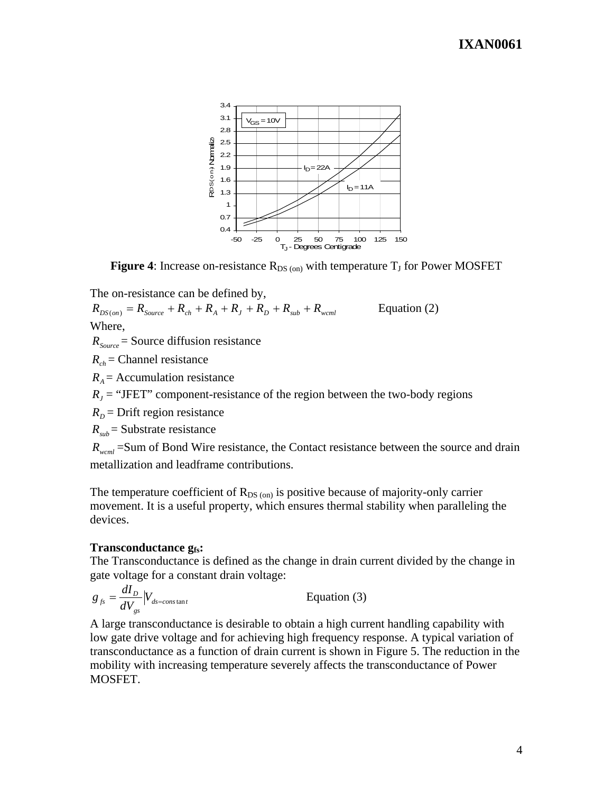

**Figure 4:** Increase on-resistance  $R_{DS (on)}$  with temperature  $T_J$  for Power MOSFET

The on-resistance can be defined by,

 $R_{DS(*on*)} = R_{Source} + R_{ch} + R_A + R_J + R_D + R_{sub} + R_{wcml}$  Equation (2) Where,

 $R_{Source}$  = Source diffusion resistance

 $R_{ch}$  = Channel resistance

 $R_A$  = Accumulation resistance

 $R<sub>I</sub>$  = "JFET" component-resistance of the region between the two-body regions

 $R<sub>D</sub>$  = Drift region resistance

 $R_{sub}$  = Substrate resistance

*R<sub>wcml</sub>* = Sum of Bond Wire resistance, the Contact resistance between the source and drain metallization and leadframe contributions.

The temperature coefficient of  $R_{DS (on)}$  is positive because of majority-only carrier movement. It is a useful property, which ensures thermal stability when paralleling the devices.

#### **Transconductance gfs:**

The Transconductance is defined as the change in drain current divided by the change in gate voltage for a constant drain voltage:

$$
g_{fs} = \frac{dI_D}{dV_{gs}} |V_{ds = constan t}
$$
 Equation (3)

A large transconductance is desirable to obtain a high current handling capability with low gate drive voltage and for achieving high frequency response. A typical variation of transconductance as a function of drain current is shown in Figure 5. The reduction in the mobility with increasing temperature severely affects the transconductance of Power MOSFET.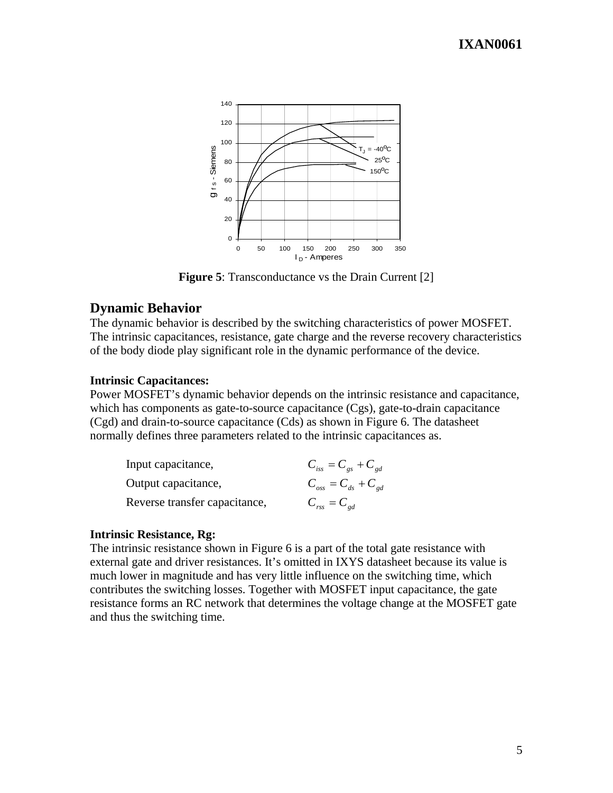

**Figure 5**: Transconductance vs the Drain Current [2]

## **Dynamic Behavior**

The dynamic behavior is described by the switching characteristics of power MOSFET. The intrinsic capacitances, resistance, gate charge and the reverse recovery characteristics of the body diode play significant role in the dynamic performance of the device.

#### **Intrinsic Capacitances:**

Power MOSFET's dynamic behavior depends on the intrinsic resistance and capacitance, which has components as gate-to-source capacitance (Cgs), gate-to-drain capacitance (Cgd) and drain-to-source capacitance (Cds) as shown in Figure 6. The datasheet normally defines three parameters related to the intrinsic capacitances as.

| Input capacitance,            | $C_{iss} = C_{gs} + C_{gd}$                               |
|-------------------------------|-----------------------------------------------------------|
| Output capacitance,           | $C_{_{\text{obs}}} = C_{_{\text{ds}}} + C_{_{\text{gd}}}$ |
| Reverse transfer capacitance, | $C_{\text{rss}}=C_{\text{gd}}$                            |

#### **Intrinsic Resistance, Rg:**

The intrinsic resistance shown in Figure 6 is a part of the total gate resistance with external gate and driver resistances. It's omitted in IXYS datasheet because its value is much lower in magnitude and has very little influence on the switching time, which contributes the switching losses. Together with MOSFET input capacitance, the gate resistance forms an RC network that determines the voltage change at the MOSFET gate and thus the switching time.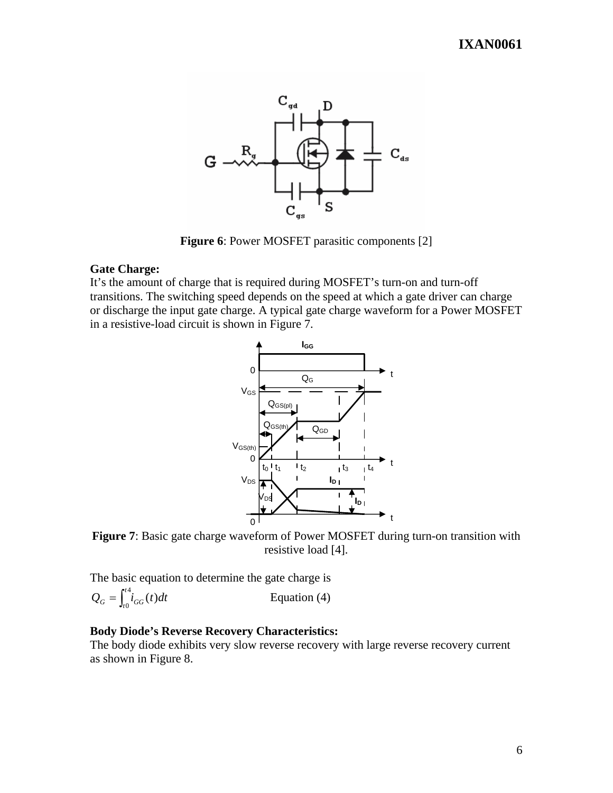

**Figure 6**: Power MOSFET parasitic components [2]

#### **Gate Charge:**

It's the amount of charge that is required during MOSFET's turn-on and turn-off transitions. The switching speed depends on the speed at which a gate driver can charge or discharge the input gate charge. A typical gate charge waveform for a Power MOSFET in a resistive-load circuit is shown in Figure 7.



**Figure 7**: Basic gate charge waveform of Power MOSFET during turn-on transition with resistive load [4].

The basic equation to determine the gate charge is

$$
Q_G = \int_{t_0}^{t_0} i_{GG}(t)dt
$$
 Equation (4)

#### **Body Diode's Reverse Recovery Characteristics:**

The body diode exhibits very slow reverse recovery with large reverse recovery current as shown in Figure 8.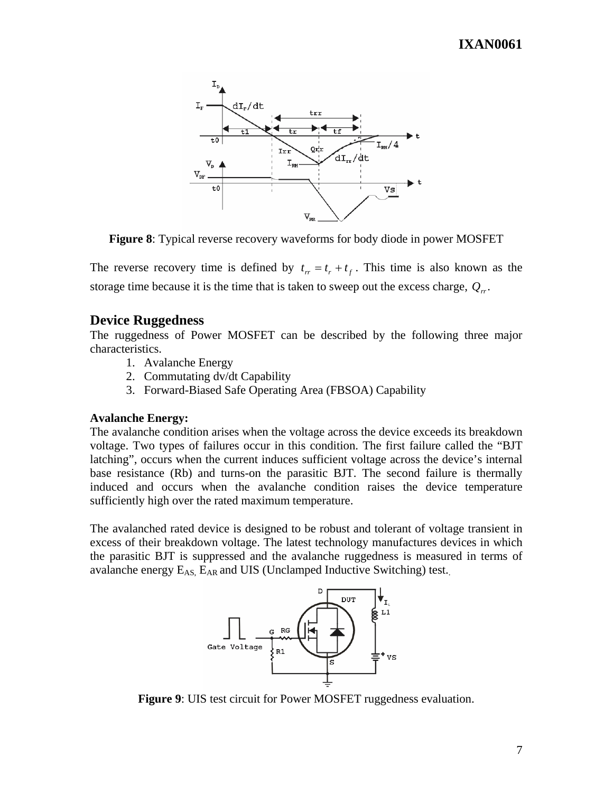

**Figure 8**: Typical reverse recovery waveforms for body diode in power MOSFET

The reverse recovery time is defined by  $t_r = t_r + t_f$ . This time is also known as the storage time because it is the time that is taken to sweep out the excess charge,  $Q_{rr}$ .

# **Device Ruggedness**

The ruggedness of Power MOSFET can be described by the following three major characteristics.

- 1. Avalanche Energy
- 2. Commutating dv/dt Capability
- 3. Forward-Biased Safe Operating Area (FBSOA) Capability

#### **Avalanche Energy:**

The avalanche condition arises when the voltage across the device exceeds its breakdown voltage. Two types of failures occur in this condition. The first failure called the "BJT latching", occurs when the current induces sufficient voltage across the device's internal base resistance (Rb) and turns-on the parasitic BJT. The second failure is thermally induced and occurs when the avalanche condition raises the device temperature sufficiently high over the rated maximum temperature.

The avalanched rated device is designed to be robust and tolerant of voltage transient in excess of their breakdown voltage. The latest technology manufactures devices in which the parasitic BJT is suppressed and the avalanche ruggedness is measured in terms of avalanche energy  $E_{AS}$ ,  $E_{AR}$  and UIS (Unclamped Inductive Switching) test.



**Figure 9**: UIS test circuit for Power MOSFET ruggedness evaluation.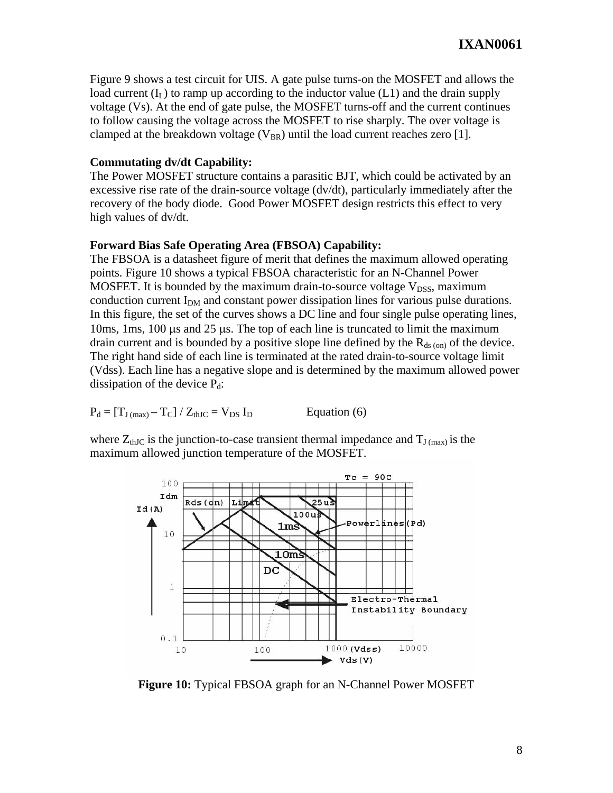Figure 9 shows a test circuit for UIS. A gate pulse turns-on the MOSFET and allows the load current  $(I_L)$  to ramp up according to the inductor value (L1) and the drain supply voltage (Vs). At the end of gate pulse, the MOSFET turns-off and the current continues to follow causing the voltage across the MOSFET to rise sharply. The over voltage is clamped at the breakdown voltage ( $V_{BR}$ ) until the load current reaches zero [1].

#### **Commutating dv/dt Capability:**

The Power MOSFET structure contains a parasitic BJT, which could be activated by an excessive rise rate of the drain-source voltage (dv/dt), particularly immediately after the recovery of the body diode. Good Power MOSFET design restricts this effect to very high values of dv/dt.

#### **Forward Bias Safe Operating Area (FBSOA) Capability:**

The FBSOA is a datasheet figure of merit that defines the maximum allowed operating points. Figure 10 shows a typical FBSOA characteristic for an N-Channel Power MOSFET. It is bounded by the maximum drain-to-source voltage  $V_{DSS}$ , maximum conduction current  $I_{DM}$  and constant power dissipation lines for various pulse durations. In this figure, the set of the curves shows a DC line and four single pulse operating lines, 10ms, 1ms, 100 μs and 25 μs. The top of each line is truncated to limit the maximum drain current and is bounded by a positive slope line defined by the  $R_{ds (on)}$  of the device. The right hand side of each line is terminated at the rated drain-to-source voltage limit (Vdss). Each line has a negative slope and is determined by the maximum allowed power dissipation of the device  $P_d$ :

$$
P_d = [T_{J \text{ (max)}} - T_C] / Z_{thJC} = V_{DS} I_D
$$
 Equation (6)

where  $Z_{thJC}$  is the junction-to-case transient thermal impedance and  $T_{J (max)}$  is the maximum allowed junction temperature of the MOSFET.



**Figure 10:** Typical FBSOA graph for an N-Channel Power MOSFET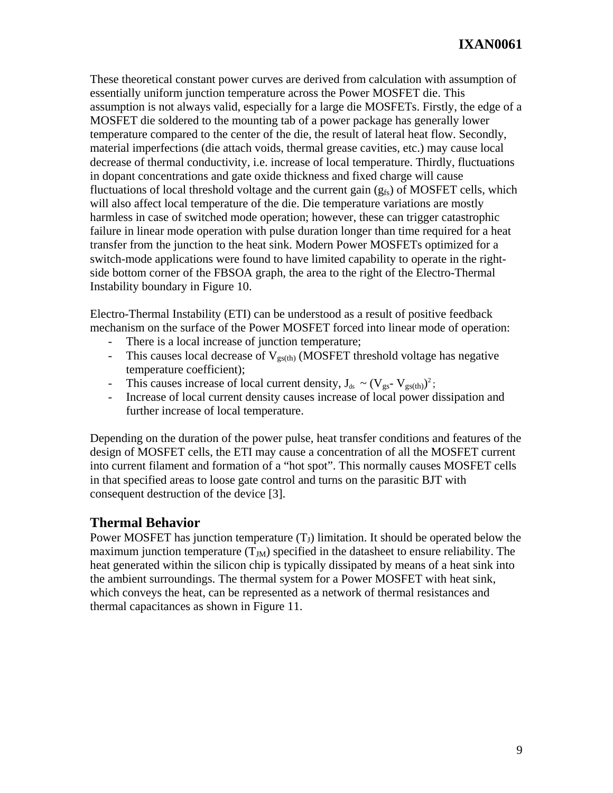These theoretical constant power curves are derived from calculation with assumption of essentially uniform junction temperature across the Power MOSFET die. This assumption is not always valid, especially for a large die MOSFETs. Firstly, the edge of a MOSFET die soldered to the mounting tab of a power package has generally lower temperature compared to the center of the die, the result of lateral heat flow. Secondly, material imperfections (die attach voids, thermal grease cavities, etc.) may cause local decrease of thermal conductivity, i.e. increase of local temperature. Thirdly, fluctuations in dopant concentrations and gate oxide thickness and fixed charge will cause fluctuations of local threshold voltage and the current gain  $(g<sub>fs</sub>)$  of MOSFET cells, which will also affect local temperature of the die. Die temperature variations are mostly harmless in case of switched mode operation; however, these can trigger catastrophic failure in linear mode operation with pulse duration longer than time required for a heat transfer from the junction to the heat sink. Modern Power MOSFETs optimized for a switch-mode applications were found to have limited capability to operate in the rightside bottom corner of the FBSOA graph, the area to the right of the Electro-Thermal Instability boundary in Figure 10.

Electro-Thermal Instability (ETI) can be understood as a result of positive feedback mechanism on the surface of the Power MOSFET forced into linear mode of operation:

- There is a local increase of junction temperature;
- This causes local decrease of  $V_{gs(th)}$  (MOSFET threshold voltage has negative temperature coefficient);
- This causes increase of local current density,  $J_{ds} \sim (V_{gs} V_{gs(th)})^2$ ;
- Increase of local current density causes increase of local power dissipation and further increase of local temperature.

Depending on the duration of the power pulse, heat transfer conditions and features of the design of MOSFET cells, the ETI may cause a concentration of all the MOSFET current into current filament and formation of a "hot spot". This normally causes MOSFET cells in that specified areas to loose gate control and turns on the parasitic BJT with consequent destruction of the device [3].

# **Thermal Behavior**

Power MOSFET has junction temperature  $(T_J)$  limitation. It should be operated below the maximum junction temperature  $(T_M)$  specified in the datasheet to ensure reliability. The heat generated within the silicon chip is typically dissipated by means of a heat sink into the ambient surroundings. The thermal system for a Power MOSFET with heat sink, which conveys the heat, can be represented as a network of thermal resistances and thermal capacitances as shown in Figure 11.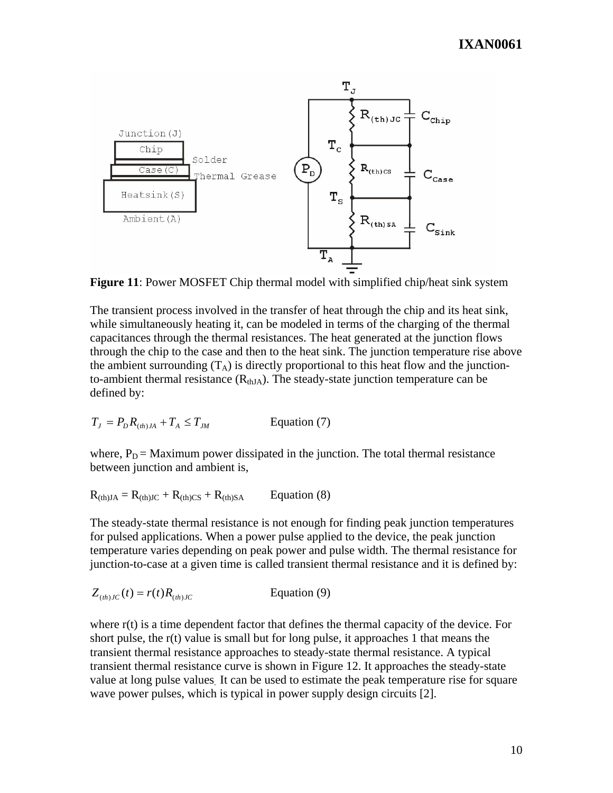# **IXAN0061**



**Figure 11**: Power MOSFET Chip thermal model with simplified chip/heat sink system

The transient process involved in the transfer of heat through the chip and its heat sink, while simultaneously heating it, can be modeled in terms of the charging of the thermal capacitances through the thermal resistances. The heat generated at the junction flows through the chip to the case and then to the heat sink. The junction temperature rise above the ambient surrounding  $(T_A)$  is directly proportional to this heat flow and the junctionto-ambient thermal resistance  $(R<sub>thJA</sub>)$ . The steady-state junction temperature can be defined by:

$$
T_J = P_D R_{(th)JA} + T_A \le T_{JM}
$$
 Equation (7)

where,  $P_D$  = Maximum power dissipated in the junction. The total thermal resistance between junction and ambient is,

$$
R_{\text{(th)JA}} = R_{\text{(th)JC}} + R_{\text{(th)CS}} + R_{\text{(th)SA}} \qquad \text{Equation (8)}
$$

The steady-state thermal resistance is not enough for finding peak junction temperatures for pulsed applications. When a power pulse applied to the device, the peak junction temperature varies depending on peak power and pulse width. The thermal resistance for junction-to-case at a given time is called transient thermal resistance and it is defined by:

$$
Z_{(th)JC}(t) = r(t)R_{(th)JC}
$$
 Equation (9)

where r(t) is a time dependent factor that defines the thermal capacity of the device. For short pulse, the r(t) value is small but for long pulse, it approaches 1 that means the transient thermal resistance approaches to steady-state thermal resistance. A typical transient thermal resistance curve is shown in Figure 12. It approaches the steady-state value at long pulse values. It can be used to estimate the peak temperature rise for square wave power pulses, which is typical in power supply design circuits [2].